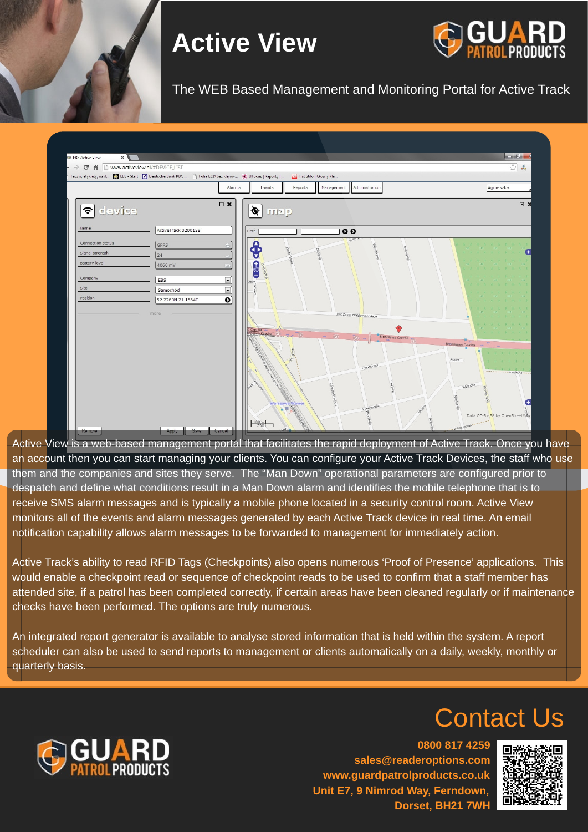**0800 817 4259 sales@readeroptions.com www.guardpatrolproducts.co.uk Unit E7, 9 Nimrod Way, Ferndown, Dorset, BH21 7WH**



## Contact Us





# **Active View**



Active View is a web-based management portal that facilitates the rapid deployment of Active Track. Once you have an account then you can start managing your clients. You can configure your Active Track Devices, the staff who use them and the companies and sites they serve. The "Man Down" operational parameters are configured prior to despatch and define what conditions result in a Man Down alarm and identifies the mobile telephone that is to receive SMS alarm messages and is typically a mobile phone located in a security control room. Active View monitors all of the events and alarm messages generated by each Active Track device in real time. An email notification capability allows alarm messages to be forwarded to management for immediately action.

. Track's ability to read RFI  $\overline{a}$ Active Track's ability to read RFID Tags (Checkpoints) also opens numerous 'Proof of Presence' applications. This would enable a checkpoint read or sequence of checkpoint reads to be used to confirm that a staff member has attended site, if a patrol has been completed correctly, if certain areas have been cleaned regularly or if maintenance checks have been performed. The options are truly numerous.

An integrated report generator is available to analyse stored information that is held within the system. A report scheduler can also be used to send reports to management or clients automatically on a daily, weekly, monthly or quarterly basis.

#### The WEB Based Management and Monitoring Portal for Active Track

| $ \rightarrow$ C $\land$<br>www.activeview.pl/#DEVICE_LIST<br>Teczki, etykiety, nakl <b>W</b> EBS - Start 7 Deutsche Bank PBC <b>B</b> Folia LCD bez klejow <b>6</b> ITfocus   Raporty |                                                                                                     |                                                                   |                                                                          | Fiat Stilo   Głosny kle |                                                        |                               |                                                                      | 23 %                                                                                                                                                                                                                                                                                                                                                                                                                                                                                                                                 |
|----------------------------------------------------------------------------------------------------------------------------------------------------------------------------------------|-----------------------------------------------------------------------------------------------------|-------------------------------------------------------------------|--------------------------------------------------------------------------|-------------------------|--------------------------------------------------------|-------------------------------|----------------------------------------------------------------------|--------------------------------------------------------------------------------------------------------------------------------------------------------------------------------------------------------------------------------------------------------------------------------------------------------------------------------------------------------------------------------------------------------------------------------------------------------------------------------------------------------------------------------------|
|                                                                                                                                                                                        |                                                                                                     | Alarms                                                            | Events                                                                   | Reports                 | Management                                             | Administration                |                                                                      | Agnieszka                                                                                                                                                                                                                                                                                                                                                                                                                                                                                                                            |
| $\epsilon$ device<br>Name                                                                                                                                                              |                                                                                                     | $\square$ $\times$                                                | $\frac{1}{\sqrt{2}}$                                                     |                         |                                                        |                               |                                                                      | $\square$                                                                                                                                                                                                                                                                                                                                                                                                                                                                                                                            |
| Connection status<br>Signal strength<br>Battery level<br>Company<br>Site<br>Position                                                                                                   | ActiveTrack 0200138<br><b>GPRS</b><br>24<br>4060 mV<br>EBS<br>Samochód<br>52.2263N 21.1564E<br>more | $\overline{\phantom{a}}$<br>$\overline{\phantom{a}}$<br>$\bullet$ | Date<br>◂<br>▼<br>$\ddot{\circ}$<br>Ξ<br>a Czecha<br>pnisława Czecha (2) |                         | O<br>Jana Zygmunta Skrzyneckiego<br>$-$ (2)<br>$(2) -$ | Bronisława Czecha (2)         | 素素素素素素素素素素素<br>* * * * * * * * *<br>未来来来来来来来。<br>本未 中 本 本 本 本<br>٠.  | 素素素素素素素素素<br>未 未 未 未 未 未 未<br>柔索素素 柔素素 柔素<br>NR NR NR<br>金金 余 朱 朱 朱 朱<br>$\begin{array}{ccccccccccccccccc} \text{\#} & \text{\#} & \text{\#} & \text{\#} & \text{\#} & \text{\#} & \text{\#} & \text{\#} & \text{\#} & \text{\#} \\ \text{\#} & \text{\#} & \text{\#} & & \text{\#} & & \text{\#} & \text{\#} & & \text{\#} & \text{\#} & \text{\#} \\ \text{\#} & \text{\#} & & \text{\#} & & \text{\#} & & \text{\#} & & \text{\#} & \text{\#} & \text{\#} & \text{\#} \\ \end{array}$<br>素素素素素素素素<br>未 未 未 未 未 未<br>本 本 本 本 本 本 本 |
|                                                                                                                                                                                        |                                                                                                     |                                                                   | $100 m$<br>500 ft                                                        | Warszawa Wawer<br>A VI  |                                                        | I Poprzeczna<br>Il Poprzeczna | Bronisława Czecha ~<br>Przelot<br>Wygodna<br>$-$ MPoprzeczna - - - - | 本本本本本本<br>本本本本本本<br>Data CC-By-SA by OpenStreetMap                                                                                                                                                                                                                                                                                                                                                                                                                                                                                   |